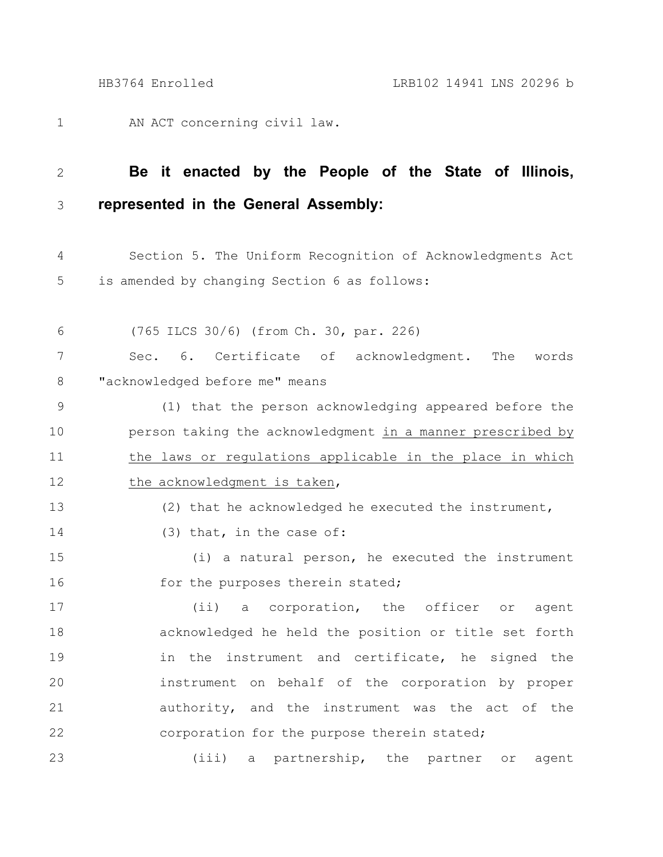AN ACT concerning civil law. 1

13

14

## **Be it enacted by the People of the State of Illinois, represented in the General Assembly:** 2 3

Section 5. The Uniform Recognition of Acknowledgments Act is amended by changing Section 6 as follows: 4 5

(765 ILCS 30/6) (from Ch. 30, par. 226) Sec. 6. Certificate of acknowledgment. The words "acknowledged before me" means (1) that the person acknowledging appeared before the person taking the acknowledgment in a manner prescribed by 6 7 8 9 10

the laws or regulations applicable in the place in which the acknowledgment is taken, 11 12

(2) that he acknowledged he executed the instrument,

(3) that, in the case of:

(i) a natural person, he executed the instrument for the purposes therein stated; 15 16

(ii) a corporation, the officer or agent acknowledged he held the position or title set forth in the instrument and certificate, he signed the instrument on behalf of the corporation by proper authority, and the instrument was the act of the corporation for the purpose therein stated; 17 18 19 20 21 22

(iii) a partnership, the partner or agent 23